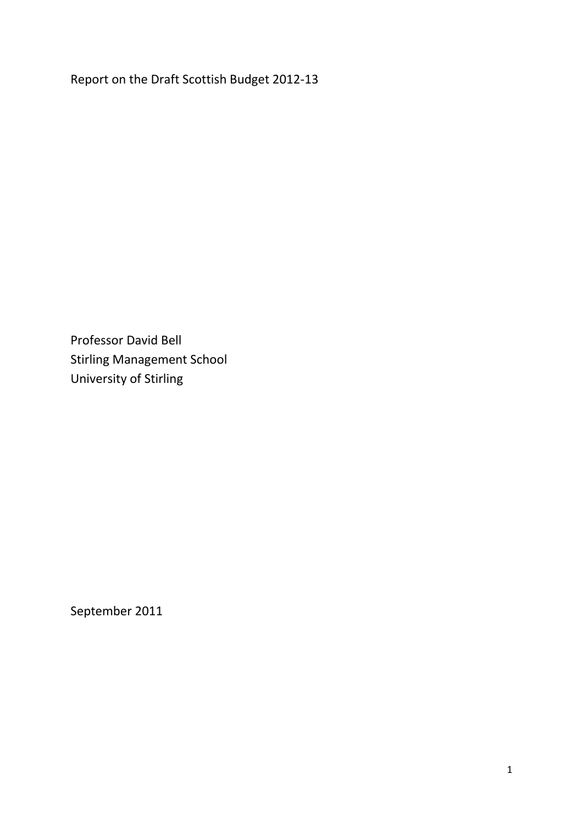Report on the Draft Scottish Budget 2012-13

Professor David Bell Stirling Management School University of Stirling

September 2011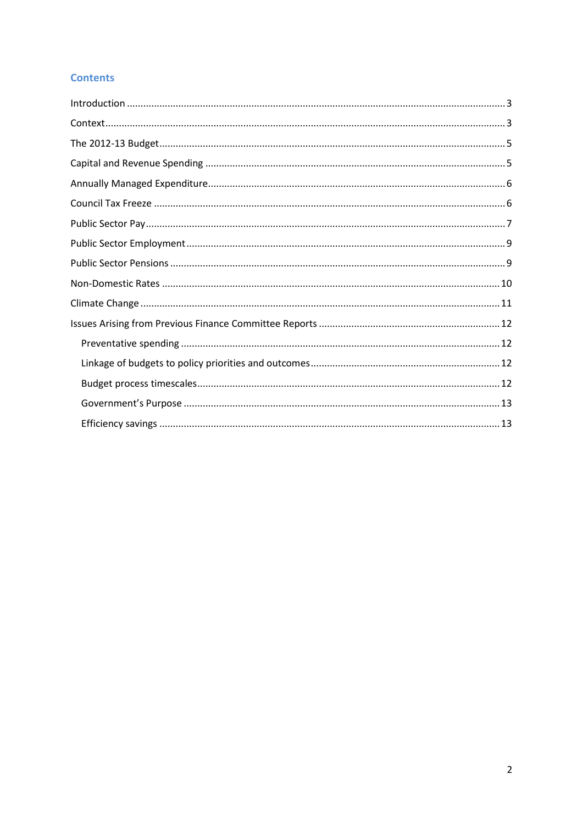# **Contents**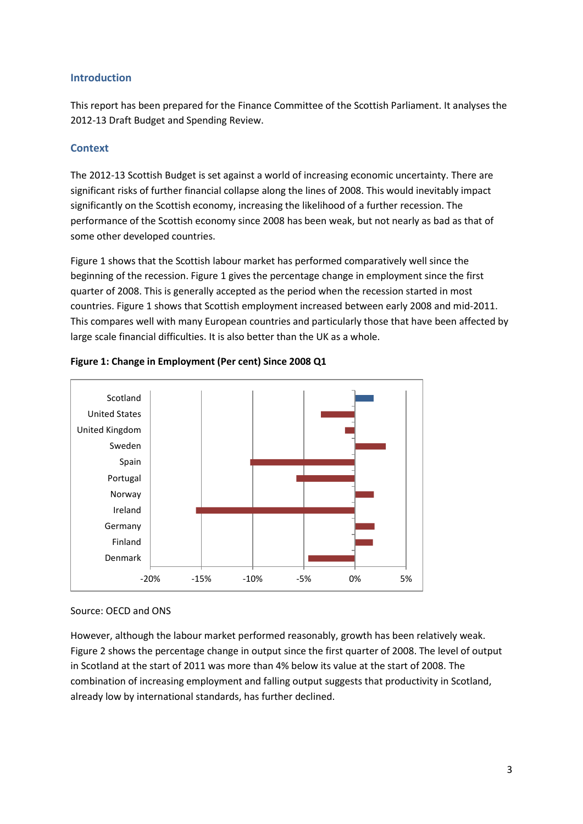## <span id="page-2-0"></span>**Introduction**

This report has been prepared for the Finance Committee of the Scottish Parliament. It analyses the 2012-13 Draft Budget and Spending Review.

## <span id="page-2-1"></span>**Context**

The 2012-13 Scottish Budget is set against a world of increasing economic uncertainty. There are significant risks of further financial collapse along the lines of 2008. This would inevitably impact significantly on the Scottish economy, increasing the likelihood of a further recession. The performance of the Scottish economy since 2008 has been weak, but not nearly as bad as that of some other developed countries.

Figure 1 shows that the Scottish labour market has performed comparatively well since the beginning of the recession. Figure 1 gives the percentage change in employment since the first quarter of 2008. This is generally accepted as the period when the recession started in most countries. Figure 1 shows that Scottish employment increased between early 2008 and mid-2011. This compares well with many European countries and particularly those that have been affected by large scale financial difficulties. It is also better than the UK as a whole.



## **Figure 1: Change in Employment (Per cent) Since 2008 Q1**

## Source: OECD and ONS

However, although the labour market performed reasonably, growth has been relatively weak. Figure 2 shows the percentage change in output since the first quarter of 2008. The level of output in Scotland at the start of 2011 was more than 4% below its value at the start of 2008. The combination of increasing employment and falling output suggests that productivity in Scotland, already low by international standards, has further declined.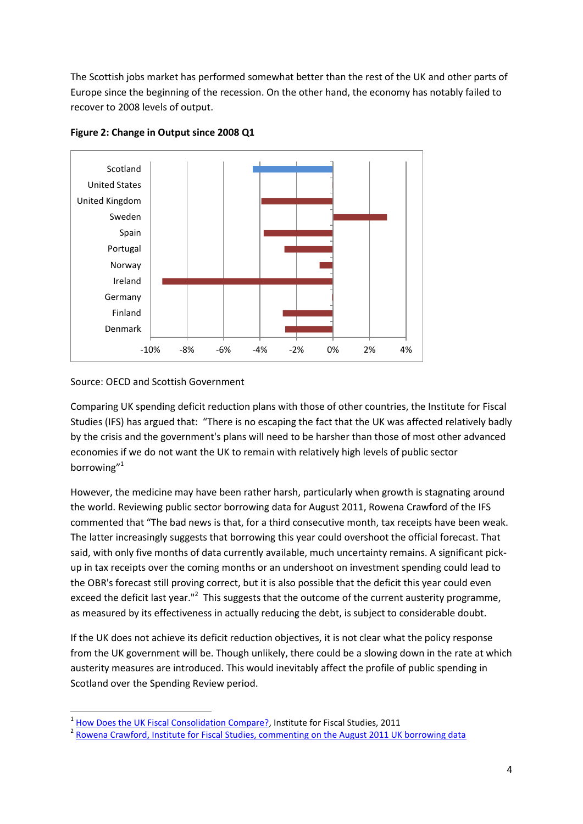The Scottish jobs market has performed somewhat better than the rest of the UK and other parts of Europe since the beginning of the recession. On the other hand, the economy has notably failed to recover to 2008 levels of output.



**Figure 2: Change in Output since 2008 Q1**

Source: OECD and Scottish Government

 $\overline{a}$ 

Comparing UK spending deficit reduction plans with those of other countries, the Institute for Fiscal Studies (IFS) has argued that: "There is no escaping the fact that the UK was affected relatively badly by the crisis and the government's plans will need to be harsher than those of most other advanced economies if we do not want the UK to remain with relatively high levels of public sector borrowing"<sup>1</sup>

However, the medicine may have been rather harsh, particularly when growth is stagnating around the world. Reviewing public sector borrowing data for August 2011, Rowena Crawford of the IFS commented that "The bad news is that, for a third consecutive month, tax receipts have been weak. The latter increasingly suggests that borrowing this year could overshoot the official forecast. That said, with only five months of data currently available, much uncertainty remains. A significant pickup in tax receipts over the coming months or an undershoot on investment spending could lead to the OBR's forecast still proving correct, but it is also possible that the deficit this year could even exceed the deficit last year."<sup>2</sup> This suggests that the outcome of the current austerity programme, as measured by its effectiveness in actually reducing the debt, is subject to considerable doubt.

If the UK does not achieve its deficit reduction objectives, it is not clear what the policy response from the UK government will be. Though unlikely, there could be a slowing down in the rate at which austerity measures are introduced. This would inevitably affect the profile of public spending in Scotland over the Spending Review period.

<sup>1</sup> [How Does the UK Fiscal Consolidation Compare?,](http://www.ifs.org.uk/publications/5693) Institute for Fiscal Studies, 2011

<sup>&</sup>lt;sup>2</sup> [Rowena Crawford, Institute for Fiscal Studies, commenting on the August 2011 UK borrowing data](http://www.ifs.org.uk/publications/5694)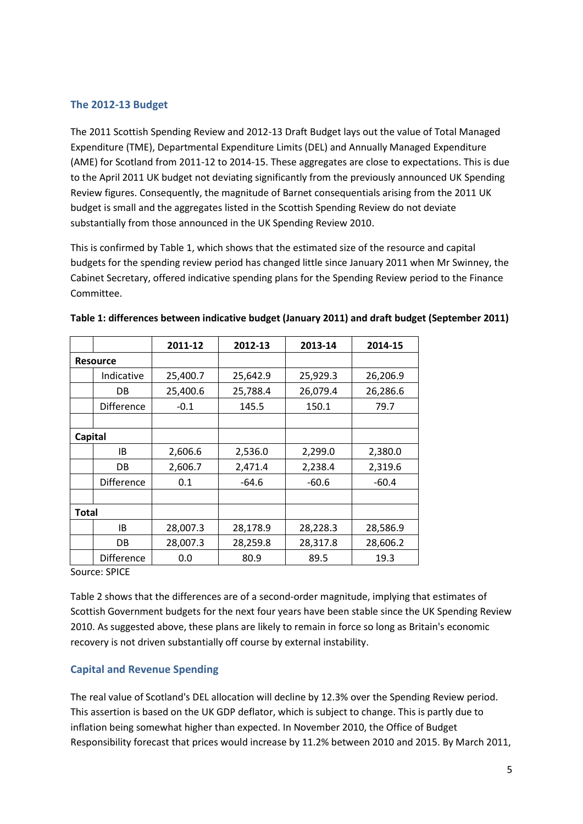## <span id="page-4-0"></span>**The 2012-13 Budget**

The 2011 Scottish Spending Review and 2012-13 Draft Budget lays out the value of Total Managed Expenditure (TME), Departmental Expenditure Limits (DEL) and Annually Managed Expenditure (AME) for Scotland from 2011-12 to 2014-15. These aggregates are close to expectations. This is due to the April 2011 UK budget not deviating significantly from the previously announced UK Spending Review figures. Consequently, the magnitude of Barnet consequentials arising from the 2011 UK budget is small and the aggregates listed in the Scottish Spending Review do not deviate substantially from those announced in the UK Spending Review 2010.

This is confirmed by Table 1, which shows that the estimated size of the resource and capital budgets for the spending review period has changed little since January 2011 when Mr Swinney, the Cabinet Secretary, offered indicative spending plans for the Spending Review period to the Finance Committee.

|              |                   | 2011-12  | 2012-13  | 2013-14  | 2014-15  |
|--------------|-------------------|----------|----------|----------|----------|
|              | <b>Resource</b>   |          |          |          |          |
|              | Indicative        | 25,400.7 | 25,642.9 | 25,929.3 | 26,206.9 |
|              | DB                | 25,400.6 | 25,788.4 | 26,079.4 | 26,286.6 |
|              | Difference        | $-0.1$   | 145.5    | 150.1    | 79.7     |
|              |                   |          |          |          |          |
| Capital      |                   |          |          |          |          |
|              | IB                | 2,606.6  | 2,536.0  | 2,299.0  | 2,380.0  |
|              | DB                | 2,606.7  | 2,471.4  | 2,238.4  | 2,319.6  |
|              | <b>Difference</b> | 0.1      | $-64.6$  | $-60.6$  | $-60.4$  |
|              |                   |          |          |          |          |
| <b>Total</b> |                   |          |          |          |          |
|              | IB                | 28,007.3 | 28,178.9 | 28,228.3 | 28,586.9 |
|              | DB                | 28,007.3 | 28,259.8 | 28,317.8 | 28,606.2 |
|              | <b>Difference</b> | 0.0      | 80.9     | 89.5     | 19.3     |

|  | Table 1: differences between indicative budget (January 2011) and draft budget (September 2011) |
|--|-------------------------------------------------------------------------------------------------|
|--|-------------------------------------------------------------------------------------------------|

Source: SPICE

Table 2 shows that the differences are of a second-order magnitude, implying that estimates of Scottish Government budgets for the next four years have been stable since the UK Spending Review 2010. As suggested above, these plans are likely to remain in force so long as Britain's economic recovery is not driven substantially off course by external instability.

## <span id="page-4-1"></span>**Capital and Revenue Spending**

The real value of Scotland's DEL allocation will decline by 12.3% over the Spending Review period. This assertion is based on the UK GDP deflator, which is subject to change. This is partly due to inflation being somewhat higher than expected. In November 2010, the Office of Budget Responsibility forecast that prices would increase by 11.2% between 2010 and 2015. By March 2011,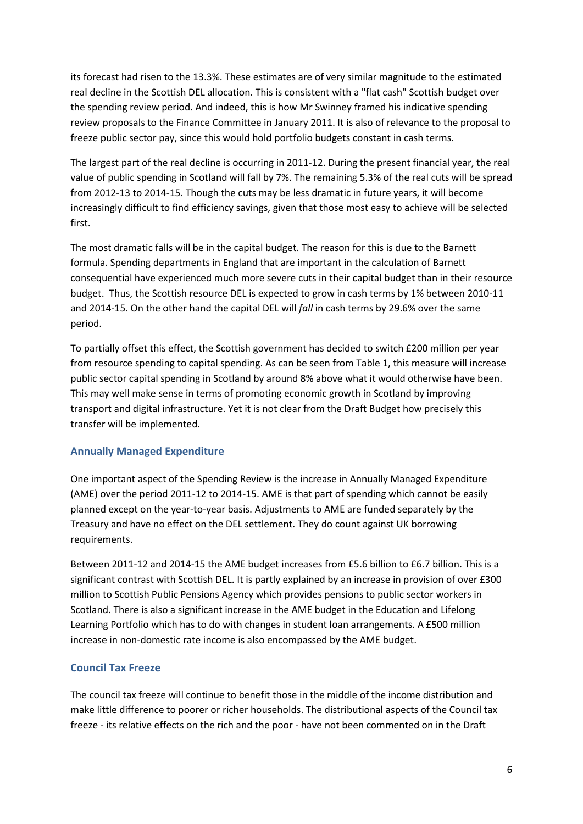its forecast had risen to the 13.3%. These estimates are of very similar magnitude to the estimated real decline in the Scottish DEL allocation. This is consistent with a "flat cash" Scottish budget over the spending review period. And indeed, this is how Mr Swinney framed his indicative spending review proposals to the Finance Committee in January 2011. It is also of relevance to the proposal to freeze public sector pay, since this would hold portfolio budgets constant in cash terms.

The largest part of the real decline is occurring in 2011-12. During the present financial year, the real value of public spending in Scotland will fall by 7%. The remaining 5.3% of the real cuts will be spread from 2012-13 to 2014-15. Though the cuts may be less dramatic in future years, it will become increasingly difficult to find efficiency savings, given that those most easy to achieve will be selected first.

The most dramatic falls will be in the capital budget. The reason for this is due to the Barnett formula. Spending departments in England that are important in the calculation of Barnett consequential have experienced much more severe cuts in their capital budget than in their resource budget. Thus, the Scottish resource DEL is expected to grow in cash terms by 1% between 2010-11 and 2014-15. On the other hand the capital DEL will *fall* in cash terms by 29.6% over the same period.

To partially offset this effect, the Scottish government has decided to switch £200 million per year from resource spending to capital spending. As can be seen from Table 1, this measure will increase public sector capital spending in Scotland by around 8% above what it would otherwise have been. This may well make sense in terms of promoting economic growth in Scotland by improving transport and digital infrastructure. Yet it is not clear from the Draft Budget how precisely this transfer will be implemented.

## <span id="page-5-0"></span>**Annually Managed Expenditure**

One important aspect of the Spending Review is the increase in Annually Managed Expenditure (AME) over the period 2011-12 to 2014-15. AME is that part of spending which cannot be easily planned except on the year-to-year basis. Adjustments to AME are funded separately by the Treasury and have no effect on the DEL settlement. They do count against UK borrowing requirements.

Between 2011-12 and 2014-15 the AME budget increases from £5.6 billion to £6.7 billion. This is a significant contrast with Scottish DEL. It is partly explained by an increase in provision of over £300 million to Scottish Public Pensions Agency which provides pensions to public sector workers in Scotland. There is also a significant increase in the AME budget in the Education and Lifelong Learning Portfolio which has to do with changes in student loan arrangements. A £500 million increase in non-domestic rate income is also encompassed by the AME budget.

## <span id="page-5-1"></span>**Council Tax Freeze**

The council tax freeze will continue to benefit those in the middle of the income distribution and make little difference to poorer or richer households. The distributional aspects of the Council tax freeze - its relative effects on the rich and the poor - have not been commented on in the Draft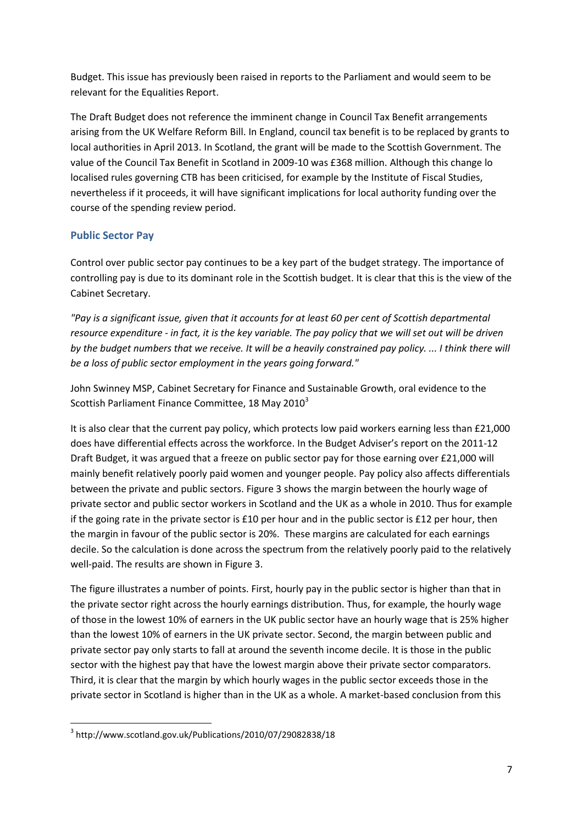Budget. This issue has previously been raised in reports to the Parliament and would seem to be relevant for the Equalities Report.

The Draft Budget does not reference the imminent change in Council Tax Benefit arrangements arising from the UK Welfare Reform Bill. In England, council tax benefit is to be replaced by grants to local authorities in April 2013. In Scotland, the grant will be made to the Scottish Government. The value of the Council Tax Benefit in Scotland in 2009-10 was £368 million. Although this change lo localised rules governing CTB has been criticised, for example by the Institute of Fiscal Studies, nevertheless if it proceeds, it will have significant implications for local authority funding over the course of the spending review period.

## <span id="page-6-0"></span>**Public Sector Pay**

Control over public sector pay continues to be a key part of the budget strategy. The importance of controlling pay is due to its dominant role in the Scottish budget. It is clear that this is the view of the Cabinet Secretary.

*"Pay is a significant issue, given that it accounts for at least 60 per cent of Scottish departmental resource expenditure - in fact, it is the key variable. The pay policy that we will set out will be driven by the budget numbers that we receive. It will be a heavily constrained pay policy. ... I think there will be a loss of public sector employment in the years going forward."*

John Swinney MSP, Cabinet Secretary for Finance and Sustainable Growth, oral evidence to the Scottish Parliament Finance Committee, 18 May 2010 $^3$ 

It is also clear that the current pay policy, which protects low paid workers earning less than £21,000 does have differential effects across the workforce. In the Budget Adviser's report on the 2011-12 Draft Budget, it was argued that a freeze on public sector pay for those earning over £21,000 will mainly benefit relatively poorly paid women and younger people. Pay policy also affects differentials between the private and public sectors. Figure 3 shows the margin between the hourly wage of private sector and public sector workers in Scotland and the UK as a whole in 2010. Thus for example if the going rate in the private sector is £10 per hour and in the public sector is £12 per hour, then the margin in favour of the public sector is 20%. These margins are calculated for each earnings decile. So the calculation is done across the spectrum from the relatively poorly paid to the relatively well-paid. The results are shown in Figure 3.

The figure illustrates a number of points. First, hourly pay in the public sector is higher than that in the private sector right across the hourly earnings distribution. Thus, for example, the hourly wage of those in the lowest 10% of earners in the UK public sector have an hourly wage that is 25% higher than the lowest 10% of earners in the UK private sector. Second, the margin between public and private sector pay only starts to fall at around the seventh income decile. It is those in the public sector with the highest pay that have the lowest margin above their private sector comparators. Third, it is clear that the margin by which hourly wages in the public sector exceeds those in the private sector in Scotland is higher than in the UK as a whole. A market-based conclusion from this

**<sup>.</sup>** 3 http://www.scotland.gov.uk/Publications/2010/07/29082838/18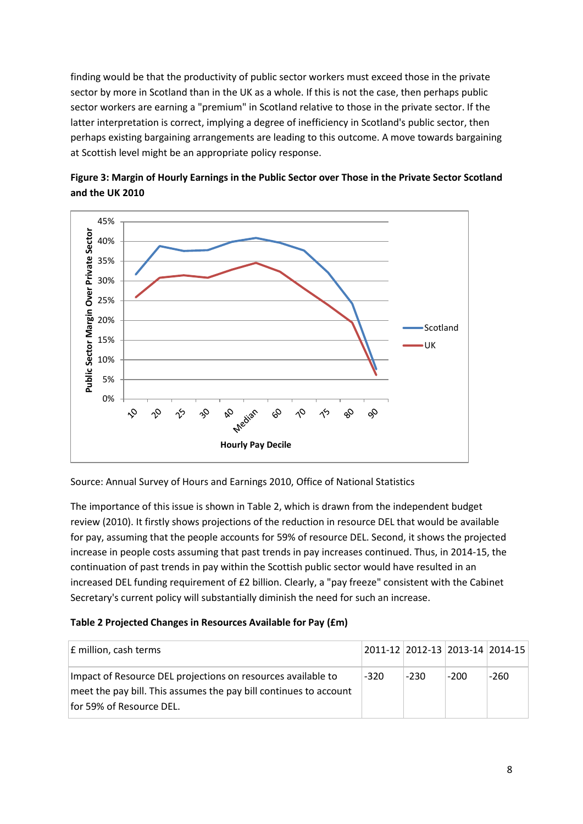finding would be that the productivity of public sector workers must exceed those in the private sector by more in Scotland than in the UK as a whole. If this is not the case, then perhaps public sector workers are earning a "premium" in Scotland relative to those in the private sector. If the latter interpretation is correct, implying a degree of inefficiency in Scotland's public sector, then perhaps existing bargaining arrangements are leading to this outcome. A move towards bargaining at Scottish level might be an appropriate policy response.

![](_page_7_Figure_1.jpeg)

![](_page_7_Figure_2.jpeg)

Source: Annual Survey of Hours and Earnings 2010, Office of National Statistics

The importance of this issue is shown in Table 2, which is drawn from the independent budget review (2010). It firstly shows projections of the reduction in resource DEL that would be available for pay, assuming that the people accounts for 59% of resource DEL. Second, it shows the projected increase in people costs assuming that past trends in pay increases continued. Thus, in 2014-15, the continuation of past trends in pay within the Scottish public sector would have resulted in an increased DEL funding requirement of £2 billion. Clearly, a "pay freeze" consistent with the Cabinet Secretary's current policy will substantially diminish the need for such an increase.

## **Table 2 Projected Changes in Resources Available for Pay (£m)**

| E million, cash terms                                                                                                                                         |        |        |      | 2011-12 2012-13 2013-14 2014-15 |
|---------------------------------------------------------------------------------------------------------------------------------------------------------------|--------|--------|------|---------------------------------|
| Impact of Resource DEL projections on resources available to<br>meet the pay bill. This assumes the pay bill continues to account<br>for 59% of Resource DEL. | $-320$ | $-230$ | -200 | $-260$                          |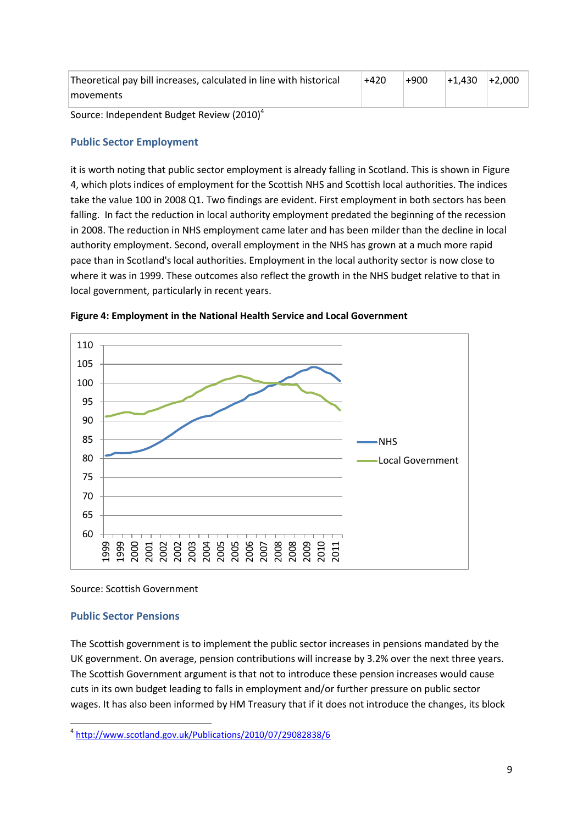| Theoretical pay bill increases, calculated in line with historical | $+420$ | $+900$ | $+1.430$ | $+2.000$ |
|--------------------------------------------------------------------|--------|--------|----------|----------|
| movements                                                          |        |        |          |          |
| Source: Independent Budget Review (2010) <sup>4</sup>              |        |        |          |          |

# <span id="page-8-0"></span>**Public Sector Employment**

it is worth noting that public sector employment is already falling in Scotland. This is shown in Figure 4, which plots indices of employment for the Scottish NHS and Scottish local authorities. The indices take the value 100 in 2008 Q1. Two findings are evident. First employment in both sectors has been falling. In fact the reduction in local authority employment predated the beginning of the recession in 2008. The reduction in NHS employment came later and has been milder than the decline in local authority employment. Second, overall employment in the NHS has grown at a much more rapid pace than in Scotland's local authorities. Employment in the local authority sector is now close to where it was in 1999. These outcomes also reflect the growth in the NHS budget relative to that in local government, particularly in recent years.

![](_page_8_Figure_3.jpeg)

![](_page_8_Figure_4.jpeg)

#### Source: Scottish Government

#### <span id="page-8-1"></span>**Public Sector Pensions**

The Scottish government is to implement the public sector increases in pensions mandated by the UK government. On average, pension contributions will increase by 3.2% over the next three years. The Scottish Government argument is that not to introduce these pension increases would cause cuts in its own budget leading to falls in employment and/or further pressure on public sector wages. It has also been informed by HM Treasury that if it does not introduce the changes, its block

**<sup>.</sup>** 4 <http://www.scotland.gov.uk/Publications/2010/07/29082838/6>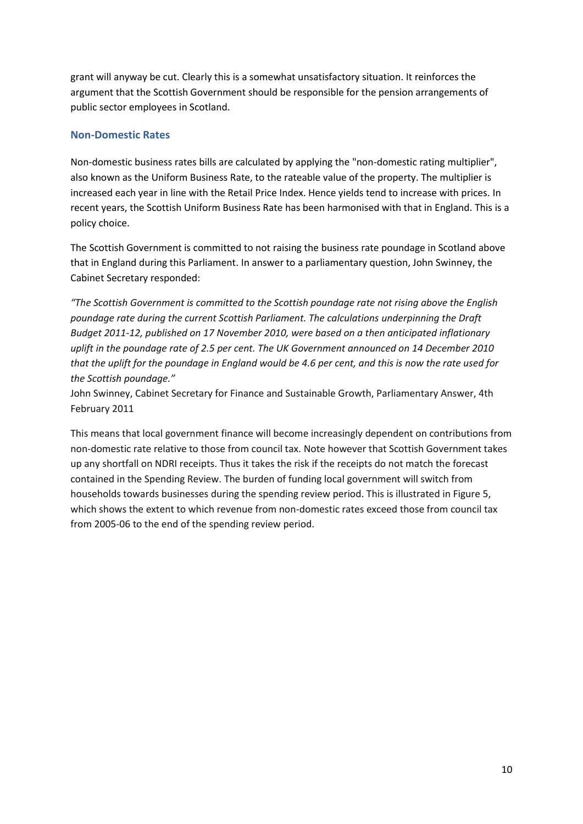grant will anyway be cut. Clearly this is a somewhat unsatisfactory situation. It reinforces the argument that the Scottish Government should be responsible for the pension arrangements of public sector employees in Scotland.

## <span id="page-9-0"></span>**Non-Domestic Rates**

Non-domestic business rates bills are calculated by applying the "non-domestic rating multiplier", also known as the Uniform Business Rate, to the rateable value of the property. The multiplier is increased each year in line with the Retail Price Index. Hence yields tend to increase with prices. In recent years, the Scottish Uniform Business Rate has been harmonised with that in England. This is a policy choice.

The Scottish Government is committed to not raising the business rate poundage in Scotland above that in England during this Parliament. In answer to a parliamentary question, John Swinney, the Cabinet Secretary responded:

*"The Scottish Government is committed to the Scottish poundage rate not rising above the English poundage rate during the current Scottish Parliament. The calculations underpinning the Draft Budget 2011-12, published on 17 November 2010, were based on a then anticipated inflationary uplift in the poundage rate of 2.5 per cent. The UK Government announced on 14 December 2010 that the uplift for the poundage in England would be 4.6 per cent, and this is now the rate used for the Scottish poundage."*

John Swinney, Cabinet Secretary for Finance and Sustainable Growth, Parliamentary Answer, 4th February 2011

This means that local government finance will become increasingly dependent on contributions from non-domestic rate relative to those from council tax. Note however that Scottish Government takes up any shortfall on NDRI receipts. Thus it takes the risk if the receipts do not match the forecast contained in the Spending Review. The burden of funding local government will switch from households towards businesses during the spending review period. This is illustrated in Figure 5, which shows the extent to which revenue from non-domestic rates exceed those from council tax from 2005-06 to the end of the spending review period.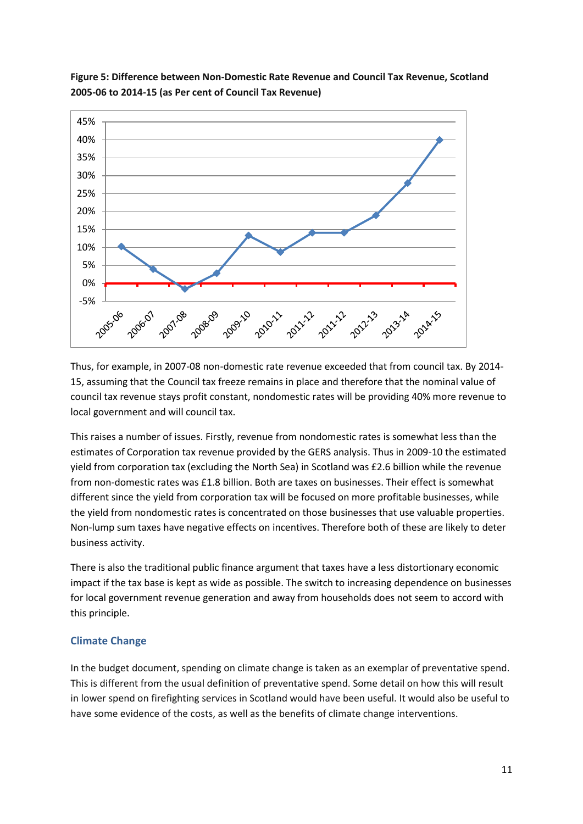![](_page_10_Figure_0.jpeg)

**Figure 5: Difference between Non-Domestic Rate Revenue and Council Tax Revenue, Scotland 2005-06 to 2014-15 (as Per cent of Council Tax Revenue)**

Thus, for example, in 2007-08 non-domestic rate revenue exceeded that from council tax. By 2014- 15, assuming that the Council tax freeze remains in place and therefore that the nominal value of council tax revenue stays profit constant, nondomestic rates will be providing 40% more revenue to local government and will council tax.

This raises a number of issues. Firstly, revenue from nondomestic rates is somewhat less than the estimates of Corporation tax revenue provided by the GERS analysis. Thus in 2009-10 the estimated yield from corporation tax (excluding the North Sea) in Scotland was £2.6 billion while the revenue from non-domestic rates was £1.8 billion. Both are taxes on businesses. Their effect is somewhat different since the yield from corporation tax will be focused on more profitable businesses, while the yield from nondomestic rates is concentrated on those businesses that use valuable properties. Non-lump sum taxes have negative effects on incentives. Therefore both of these are likely to deter business activity.

There is also the traditional public finance argument that taxes have a less distortionary economic impact if the tax base is kept as wide as possible. The switch to increasing dependence on businesses for local government revenue generation and away from households does not seem to accord with this principle.

## <span id="page-10-0"></span>**Climate Change**

In the budget document, spending on climate change is taken as an exemplar of preventative spend. This is different from the usual definition of preventative spend. Some detail on how this will result in lower spend on firefighting services in Scotland would have been useful. It would also be useful to have some evidence of the costs, as well as the benefits of climate change interventions.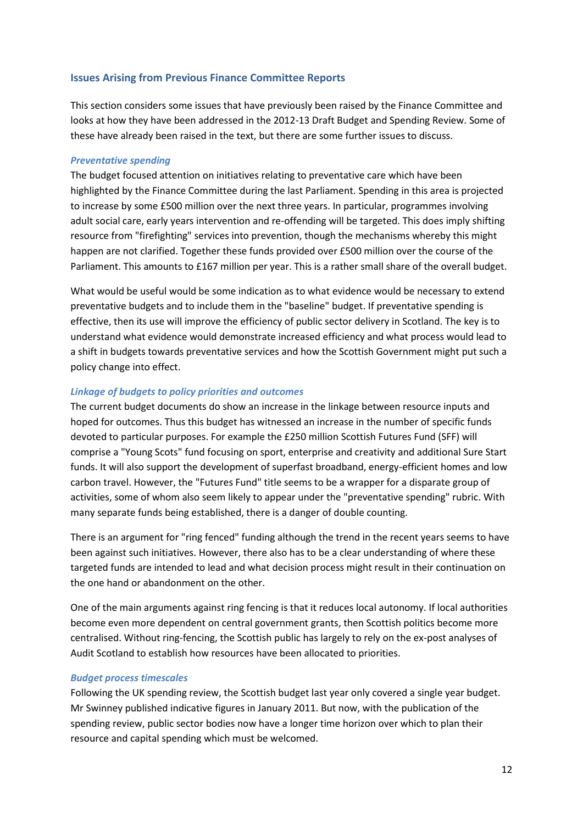### <span id="page-11-0"></span>**Issues Arising from Previous Finance Committee Reports**

This section considers some issues that have previously been raised by the Finance Committee and looks at how they have been addressed in the 2012-13 Draft Budget and Spending Review. Some of these have already been raised in the text, but there are some further issues to discuss.

#### <span id="page-11-1"></span>*Preventative spending*

The budget focused attention on initiatives relating to preventative care which have been highlighted by the Finance Committee during the last Parliament. Spending in this area is projected to increase by some £500 million over the next three years. In particular, programmes involving adult social care, early years intervention and re-offending will be targeted. This does imply shifting resource from "firefighting" services into prevention, though the mechanisms whereby this might happen are not clarified. Together these funds provided over £500 million over the course of the Parliament. This amounts to £167 million per year. This is a rather small share of the overall budget.

What would be useful would be some indication as to what evidence would be necessary to extend preventative budgets and to include them in the "baseline" budget. If preventative spending is effective, then its use will improve the efficiency of public sector delivery in Scotland. The key is to understand what evidence would demonstrate increased efficiency and what process would lead to a shift in budgets towards preventative services and how the Scottish Government might put such a policy change into effect.

#### <span id="page-11-2"></span>*Linkage of budgets to policy priorities and outcomes*

The current budget documents do show an increase in the linkage between resource inputs and hoped for outcomes. Thus this budget has witnessed an increase in the number of specific funds devoted to particular purposes. For example the £250 million Scottish Futures Fund (SFF) will comprise a "Young Scots" fund focusing on sport, enterprise and creativity and additional Sure Start funds. It will also support the development of superfast broadband, energy-efficient homes and low carbon travel. However, the "Futures Fund" title seems to be a wrapper for a disparate group of activities, some of whom also seem likely to appear under the "preventative spending" rubric. With many separate funds being established, there is a danger of double counting.

There is an argument for "ring fenced" funding although the trend in the recent years seems to have been against such initiatives. However, there also has to be a clear understanding of where these targeted funds are intended to lead and what decision process might result in their continuation on the one hand or abandonment on the other.

One of the main arguments against ring fencing is that it reduces local autonomy. If local authorities become even more dependent on central government grants, then Scottish politics become more centralised. Without ring-fencing, the Scottish public has largely to rely on the ex-post analyses of Audit Scotland to establish how resources have been allocated to priorities.

#### <span id="page-11-3"></span>*Budget process timescales*

Following the UK spending review, the Scottish budget last year only covered a single year budget. Mr Swinney published indicative figures in January 2011. But now, with the publication of the spending review, public sector bodies now have a longer time horizon over which to plan their resource and capital spending which must be welcomed.